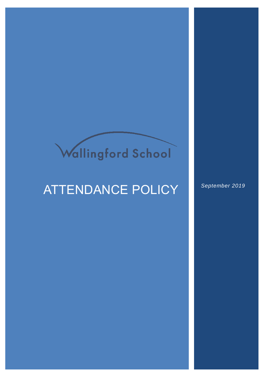# Wallingford School

## ATTENDANCE POLICY *September 2019*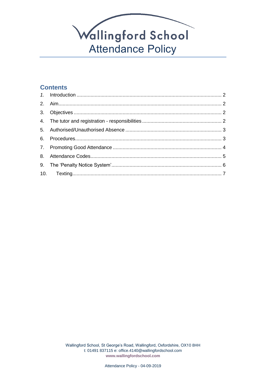

#### **Contents**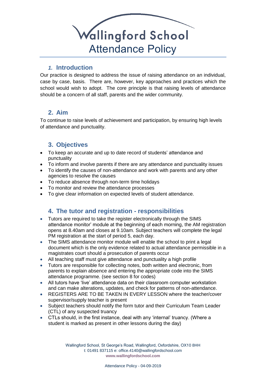

#### *1.* **Introduction**

<span id="page-2-0"></span>Our practice is designed to address the issue of raising attendance on an individual, case by case, basis. There are, however, key approaches and practices which the school would wish to adopt. The core principle is that raising levels of attendance should be a concern of all staff, parents and the wider community.

#### <span id="page-2-1"></span>**2. Aim**

To continue to raise levels of achievement and participation, by ensuring high levels of attendance and punctuality.

#### <span id="page-2-2"></span>**3. Objectives**

- To keep an accurate and up to date record of students' attendance and punctuality
- To inform and involve parents if there are any attendance and punctuality issues
- To identify the causes of non-attendance and work with parents and any other agencies to resolve the causes
- To reduce absence through non-term time holidays
- To monitor and review the attendance processes
- <span id="page-2-3"></span>To give clear information on expected levels of student attendance.

#### **4. The tutor and registration - responsibilities**

- Tutors are required to take the register electronically through the SIMS attendance monitor' module at the beginning of each morning, the AM registration opens at 8.40am and closes at 9.10am. Subject teachers will complete the legal PM registration at the start of period 5, each day.
- The SIMS attendance monitor module will enable the school to print a legal document which is the only evidence related to actual attendance permissible in a magistrates court should a prosecution of parents occur
- All teaching staff must give attendance and punctuality a high profile
- Tutors are responsible for collecting notes, both written and electronic, from parents to explain absence and entering the appropriate code into the SIMS attendance programme. (see section 8 for codes)
- All tutors have 'live' attendance data on their classroom computer workstation and can make alterations, updates, and check for patterns of non-attendance.
- REGISTERS ARE TO BE TAKEN IN EVERY LESSON where the teacher/cover supervisor/supply teacher is present
- Subject teachers should notify the form tutor and their Curriculum Team Leader (CTL) of any suspected truancy
- CTLs should, in the first instance, deal with any 'internal' truancy. (Where a student is marked as present in other lessons during the day)

Wallingford School, St George's Road, Wallingford, Oxfordshire, OX10 8HH t: 01491 837115 e: office.4140@wallingfordschool.com **[www.wallingfordschool.com](http://www.wallingfordschool.com/)**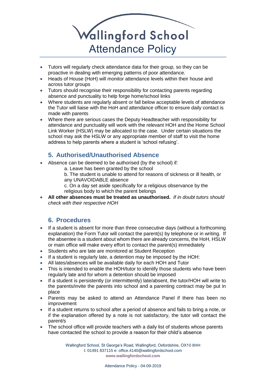

- Tutors will regularly check attendance data for their group, so they can be proactive in dealing with emerging patterns of poor attendance.
- Heads of House (HoH) will monitor attendance levels within their house and across tutor groups
- Tutors should recognise their responsibility for contacting parents regarding absence and punctuality to help forge home/school links
- Where students are regularly absent or fall below acceptable levels of attendance the Tutor will liaise with the HoH and attendance officer to ensure daily contact is made with parents
- Where there are serious cases the Deputy Headteacher with responsibility for attendance and punctuality will work with the relevant HOH and the Home School Link Worker (HSLW) may be allocated to the case. Under certain situations the school may ask the HSLW or any appropriate member of staff to visit the home address to help parents where a student is 'school refusing'.

### **5. Authorised/Unauthorised Absence**

- <span id="page-3-0"></span> Absence can be deemed to be authorised (by the school) if:
	- a. Leave has been granted by the school
	- b. The student is unable to attend for reasons of sickness or ill health, or any UNAVOIDABLE absence
	- c. On a day set aside specifically for a religious observance by the religious body to which the parent belongs
- <span id="page-3-1"></span> **All other absences must be treated as unauthorised.** *If in doubt tutors should check with their respective HOH*

#### **6. Procedures**

- If a student is absent for more than three consecutive days (without a forthcoming explanation) the Form Tutor will contact the parent(s) by telephone or in writing. If the absentee is a student about whom there are already concerns, the HoH, HSLW or main office will make every effort to contact the parent(s) immediately
- Students who are late are monitored at Student Reception
- If a student is regularly late, a detention may be imposed by the HOH:
- All lates/absences will be available daily for each HOH and Tutor
- This is intended to enable the HOH/tutor to identify those students who have been regularly late and for whom a detention should be imposed
- If a student is persistently (or intermittently) late/absent, the tutor/HOH will write to the parents/invite the parents into school and a parenting contract may be put in place
- Parents may be asked to attend an Attendance Panel if there has been no improvement
- If a student returns to school after a period of absence and fails to bring a note, or if the explanation offered by a note is not satisfactory, the tutor will contact the parent/s
- The school office will provide teachers with a daily list of students whose parents have contacted the school to provide a reason for their child's absence

Wallingford School, St George's Road, Wallingford, Oxfordshire, OX10 8HH t: 01491 837115 e: office.4140@wallingfordschool.com **[www.wallingfordschool.com](http://www.wallingfordschool.com/)**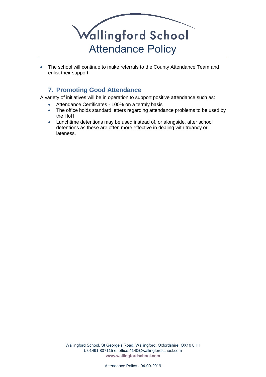

<span id="page-4-0"></span>• The school will continue to make referrals to the County Attendance Team and enlist their support.

### **7. Promoting Good Attendance**

A variety of initiatives will be in operation to support positive attendance such as:

- Attendance Certificates 100% on a termly basis
- The office holds standard letters regarding attendance problems to be used by the HoH
- Lunchtime detentions may be used instead of, or alongside, after school detentions as these are often more effective in dealing with truancy or lateness.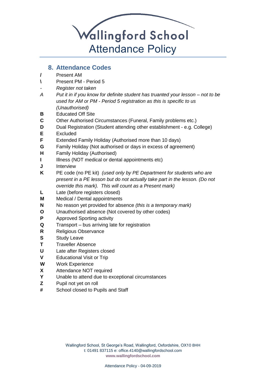

#### **8. Attendance Codes**

- <span id="page-5-0"></span>**/** Present AM
- **\** Present PM Period 5
- *- Register not taken*
- *A Put it in if you know for definite student has truanted your lesson – not to be used for AM or PM - Period 5 registration as this is specific to us (Unauthorised)*
- **B** Educated Off Site
- **C** Other Authorised Circumstances (Funeral, Family problems etc.)
- **D** Dual Registration (Student attending other establishment e.g. College)
- **E** Excluded
- **F** Extended Family Holiday (Authorised more than 10 days)
- **G** Family Holiday (Not authorised or days in excess of agreement)
- **H** Family Holiday (Authorised)
- **I** Illness (NOT medical or dental appointments etc)
- **J** Interview
- **K** PE code (no PE kit) *(used only by PE Department for students who are present in a PE lesson but do not actually take part in the lesson. (Do not override this mark). This will count as a Present mark)*
- **L** Late (before registers closed)
- **M** Medical / Dental appointments
- **N** No reason yet provided for absence *(this is a temporary mark)*
- **O** Unauthorised absence (Not covered by other codes)
- **P** Approved Sporting activity
- **Q** Transport bus arriving late for registration
- **R** Religious Observance
- **S** Study Leave
- **T** Traveller Absence
- **U** Late after Registers closed
- **V** Educational Visit or Trip
- **W** Work Experience
- **X** Attendance NOT required
- **Y** Unable to attend due to exceptional circumstances
- **Z** Pupil not yet on roll
- **#** School closed to Pupils and Staff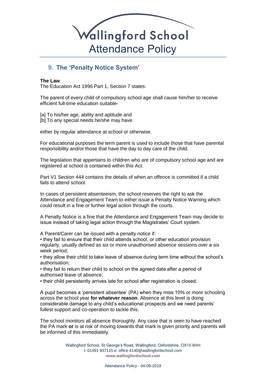

#### <span id="page-6-0"></span>**9. The 'Penalty Notice System'**

#### **The Law**

The Education Act 1996 Part 1, Section 7 states:

The parent of every child of compulsory school age shall cause him/her to receive efficient full-time education suitable-

[a] To his/her age, ability and aptitude and [b] To any special needs he/she may have.

either by regular attendance at school or otherwise.

For educational purposes the term parent is used to include those that have parental responsibility and/or those that have the day to day care of the child.

The legislation that appertains to children who are of compulsory school age and are registered at school is contained within this Act.

Part V1 Section 444 contains the details of when an offence is committed if a child fails to attend school.

In cases of persistent absenteeism, the school reserves the right to ask the Attendance and Engagement Team to either issue a Penalty Notice Warning which could result in a fine or further legal action through the courts.

A Penalty Notice is a fine that the Attendance and Engagement Team may decide to issue instead of taking legal action through the Magistrates' Court system.

A Parent/Carer can be issued with a penalty notice if:

• they fail to ensure that their child attends school, or other education provision regularly, usually defined as six or more unauthorised absence sessions over a six week period;

• they allow their child to take leave of absence during term time without the school's authorisation;

• they fail to return their child to school on the agreed date after a period of authorised leave of absence;

• their child persistently arrives late for school after registration is closed.

A pupil becomes a 'persistent absentee' (PA) when they miss 10% or more schooling across the school year **for whatever reason**. Absence at this level is doing considerable damage to any child's educational prospects and we need parents' fullest support and co-operation to tackle this.

The school monitors all absence thoroughly. Any case that is seen to have reached the PA mark **or** is at risk of moving towards that mark is given priority and parents will be informed of this immediately.

> Wallingford School, St George's Road, Wallingford, Oxfordshire, OX10 8HH t: 01491 837115 e: office.4140@wallingfordschool.com **[www.wallingfordschool.com](http://www.wallingfordschool.com/)**